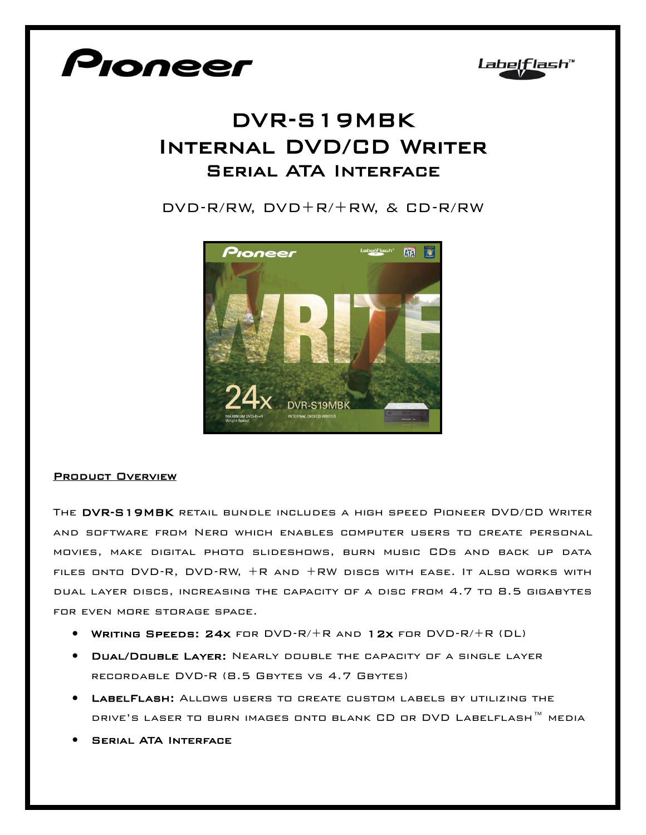



## DVR-S19MBK Internal DVD/CD Writer Serial ATA Interface

DVD-R/RW, DVD+R/+RW, & CD-R/RW



## Product Overview

The DVR-S19MBK retail bundle includes a high speed Pioneer DVD/CD Writer and software from Nero which enables computer users to create personal movies, make digital photo slideshows, burn music CDs and back up data files onto DVD-R, DVD-RW, +R and +RW discs with ease. It also works with dual layer discs, increasing the capacity of a disc from 4.7 to 8.5 gigabytes for even more storage space.

- Writing Speeds: 24x for DVD-R/+R and 12x for DVD-R/+R (DL)
- **DUAL/DOUBLE LAYER:** NEARLY DOUBLE THE CAPACITY OF A SINGLE LAYER recordable DVD-R (8.5 Gbytes vs 4.7 Gbytes)
- LabelFlash: Allows users to create custom labels by utilizing the DRIVE'S LASER TO BURN IMAGES ONTO BLANK CD OR DVD LABELFLASH™ MEDIA
- **SERIAL ATA INTERFACE**